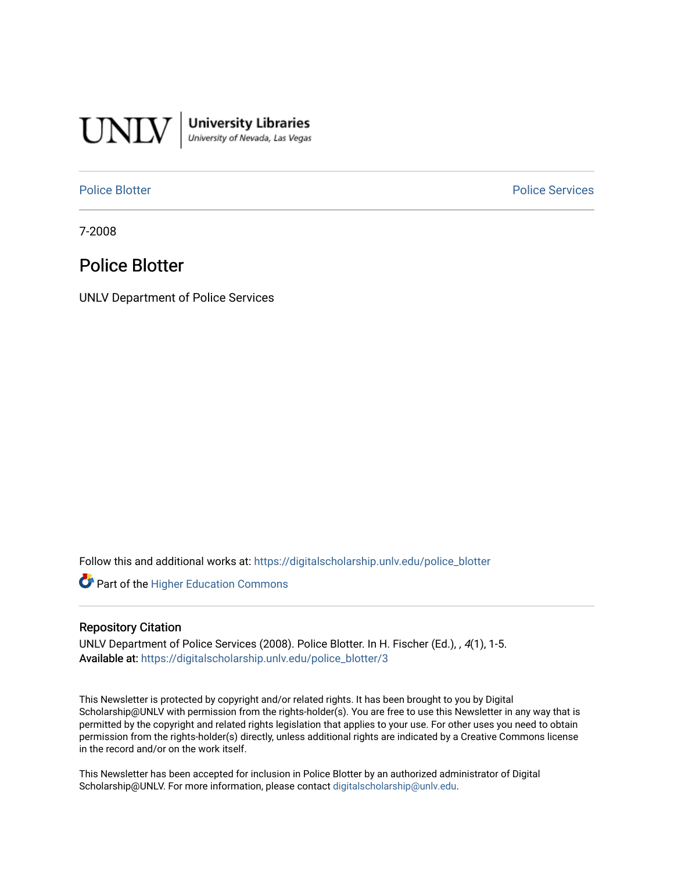

**University Libraries**<br>University of Nevada, Las Vegas

[Police Blotter](https://digitalscholarship.unlv.edu/police_blotter) **Police Services Police Services** 

7-2008

# Police Blotter

UNLV Department of Police Services

Follow this and additional works at: [https://digitalscholarship.unlv.edu/police\\_blotter](https://digitalscholarship.unlv.edu/police_blotter?utm_source=digitalscholarship.unlv.edu%2Fpolice_blotter%2F3&utm_medium=PDF&utm_campaign=PDFCoverPages) 

**Part of the Higher Education Commons** 

### Repository Citation

UNLV Department of Police Services (2008). Police Blotter. In H. Fischer (Ed.), , 4(1), 1-5. Available at: [https://digitalscholarship.unlv.edu/police\\_blotter/3](https://digitalscholarship.unlv.edu/police_blotter/3) 

This Newsletter is protected by copyright and/or related rights. It has been brought to you by Digital Scholarship@UNLV with permission from the rights-holder(s). You are free to use this Newsletter in any way that is permitted by the copyright and related rights legislation that applies to your use. For other uses you need to obtain permission from the rights-holder(s) directly, unless additional rights are indicated by a Creative Commons license in the record and/or on the work itself.

This Newsletter has been accepted for inclusion in Police Blotter by an authorized administrator of Digital Scholarship@UNLV. For more information, please contact [digitalscholarship@unlv.edu.](mailto:digitalscholarship@unlv.edu)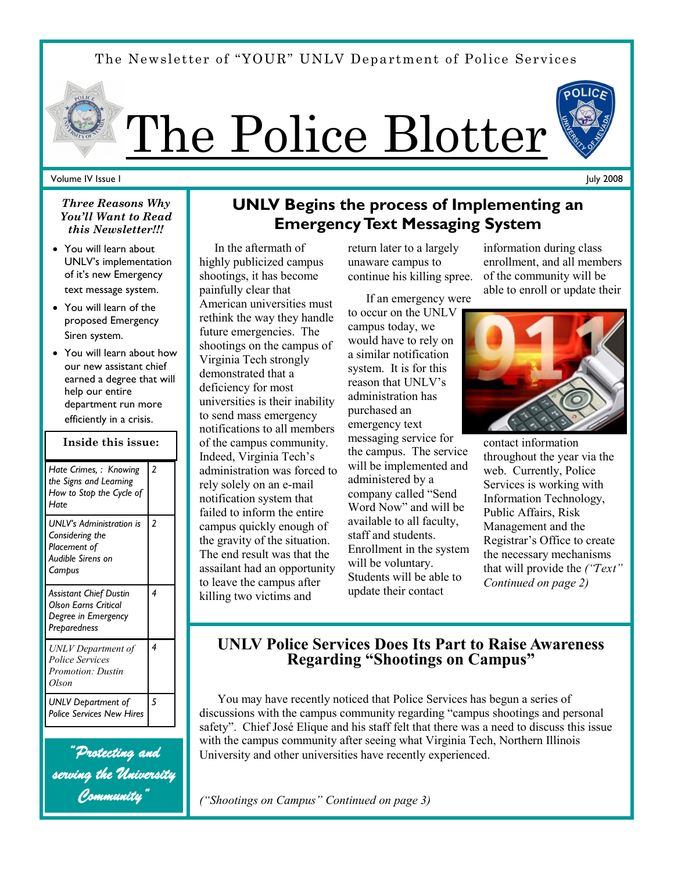# The Newsletter of "YOUR" UNLV Department of Police Services



#### Volume IV Issue I

*Three Reasons Why You'll Want to Read this Newsletter!!!*

- You will learn about UNLV's implementation of it's new Emergency text message system.
- You will learn of the proposed Emergency Siren system.
- You will learn about how our new assistant chief earned a degree that will help our entire department run more efficiently in a crisis.

## **Inside this issue:**

| Hate Crimes, : Knowing<br>the Signs and Learning<br>How to Stop the Cycle of<br>Hate                | $\overline{2}$ |
|-----------------------------------------------------------------------------------------------------|----------------|
| <b>UNLV's Administration is</b><br>Considering the<br>Placement of<br>Audible Sirens on<br>Campus   | 2              |
| <b>Assistant Chief Dustin</b><br><b>Olson Earns Critical</b><br>Degree in Emergency<br>Preparedness | 4              |
| UNLV Department of<br>Police Services<br>Promotion: Dustin<br>Olson                                 | 4              |
| UNLV Department of<br><b>Police Services New Hires</b>                                              | 5              |

*"Protecting and serving the University Community"* 

# **UNLV Begins the process of Implementing an Emergency Text Messaging System**

 In the aftermath of highly publicized campus shootings, it has become painfully clear that American universities must rethink the way they handle future emergencies. The shootings on the campus of Virginia Tech strongly demonstrated that a deficiency for most universities is their inability to send mass emergency notifications to all members of the campus community. Indeed, Virginia Tech's administration was forced to rely solely on an e-mail notification system that failed to inform the entire campus quickly enough of the gravity of the situation. The end result was that the assailant had an opportunity to leave the campus after killing two victims and

return later to a largely unaware campus to continue his killing spree.

 If an emergency were to occur on the UNLV campus today, we would have to rely on a similar notification system. It is for this reason that UNLV's administration has purchased an emergency text messaging service for the campus. The service will be implemented and administered by a company called "Send Word Now" and will be available to all faculty, staff and students. Enrollment in the system will be voluntary. Students will be able to update their contact

information during class enrollment, and all members of the community will be able to enroll or update their

July 2008



contact information throughout the year via the web. Currently, Police Services is working with Information Technology, Public Affairs, Risk Management and the Registrar's Office to create the necessary mechanisms that will provide the *("Text" Continued on page 2)*

# **UNLV Police Services Does Its Part to Raise Awareness Regarding "Shootings on Campus"**

 You may have recently noticed that Police Services has begun a series of discussions with the campus community regarding "campus shootings and personal safety". Chief José Elique and his staff felt that there was a need to discuss this issue with the campus community after seeing what Virginia Tech, Northern Illinois University and other universities have recently experienced.

*("Shootings on Campus" Continued on page 3)*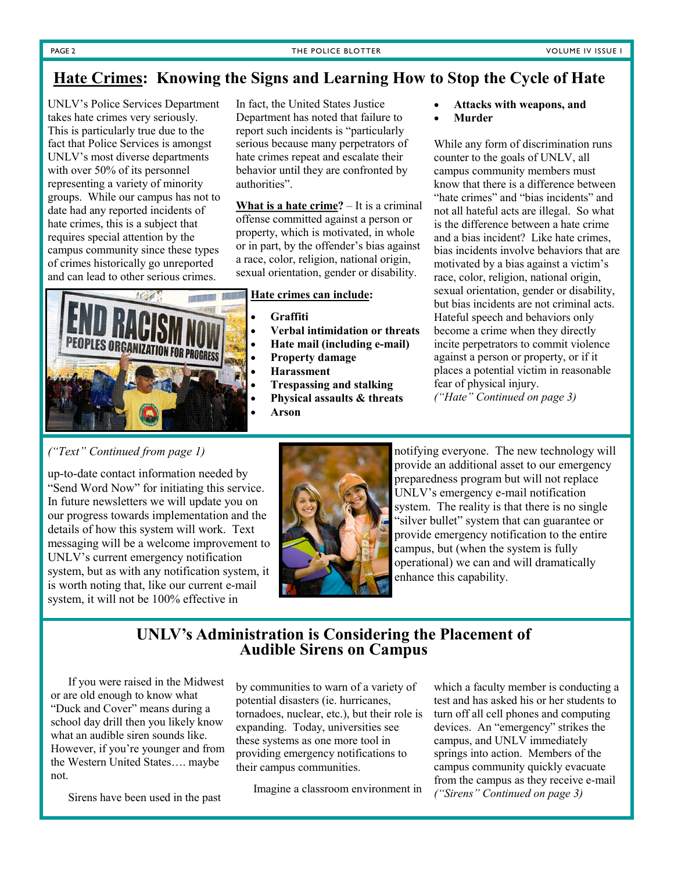# **Hate Crimes: Knowing the Signs and Learning How to Stop the Cycle of Hate**

UNLV's Police Services Department takes hate crimes very seriously. This is particularly true due to the fact that Police Services is amongst UNLV's most diverse departments with over 50% of its personnel representing a variety of minority groups. While our campus has not to date had any reported incidents of hate crimes, this is a subject that requires special attention by the campus community since these types of crimes historically go unreported and can lead to other serious crimes.

In fact, the United States Justice Department has noted that failure to report such incidents is "particularly serious because many perpetrators of hate crimes repeat and escalate their behavior until they are confronted by authorities".

**What is a hate crime?** – It is a criminal offense committed against a person or property, which is motivated, in whole or in part, by the offender's bias against a race, color, religion, national origin, sexual orientation, gender or disability.

#### **Hate crimes can include:**

- **Graffiti**
- **Verbal intimidation or threats**
- **Hate mail (including e-mail)**
- **Property damage**
- **Harassment**
- **Trespassing and stalking**
- **Physical assaults & threats**
- **Arson**
- **Attacks with weapons, and**
	- **Murder**

While any form of discrimination runs counter to the goals of UNLV, all campus community members must know that there is a difference between "hate crimes" and "bias incidents" and not all hateful acts are illegal. So what is the difference between a hate crime and a bias incident? Like hate crimes, bias incidents involve behaviors that are motivated by a bias against a victim's race, color, religion, national origin, sexual orientation, gender or disability, but bias incidents are not criminal acts. Hateful speech and behaviors only become a crime when they directly incite perpetrators to commit violence against a person or property, or if it places a potential victim in reasonable fear of physical injury.

*("Hate" Continued on page 3)*

## *("Text" Continued from page 1)*

up-to-date contact information needed by "Send Word Now" for initiating this service. In future newsletters we will update you on our progress towards implementation and the details of how this system will work. Text messaging will be a welcome improvement to UNLV's current emergency notification system, but as with any notification system, it is worth noting that, like our current e-mail system, it will not be 100% effective in

**ES ORGANIZATION FOR PROGRESS** 



notifying everyone. The new technology will provide an additional asset to our emergency preparedness program but will not replace UNLV's emergency e-mail notification system. The reality is that there is no single "silver bullet" system that can guarantee or provide emergency notification to the entire campus, but (when the system is fully operational) we can and will dramatically enhance this capability.

## **UNLV's Administration is Considering the Placement of Audible Sirens on Campus**

 If you were raised in the Midwest or are old enough to know what "Duck and Cover" means during a school day drill then you likely know what an audible siren sounds like. However, if you're younger and from the Western United States…. maybe not.

Sirens have been used in the past

by communities to warn of a variety of potential disasters (ie. hurricanes, tornadoes, nuclear, etc.), but their role is expanding. Today, universities see these systems as one more tool in providing emergency notifications to their campus communities.

Imagine a classroom environment in

which a faculty member is conducting a test and has asked his or her students to turn off all cell phones and computing devices. An "emergency" strikes the campus, and UNLV immediately springs into action. Members of the campus community quickly evacuate from the campus as they receive e-mail *("Sirens" Continued on page 3)*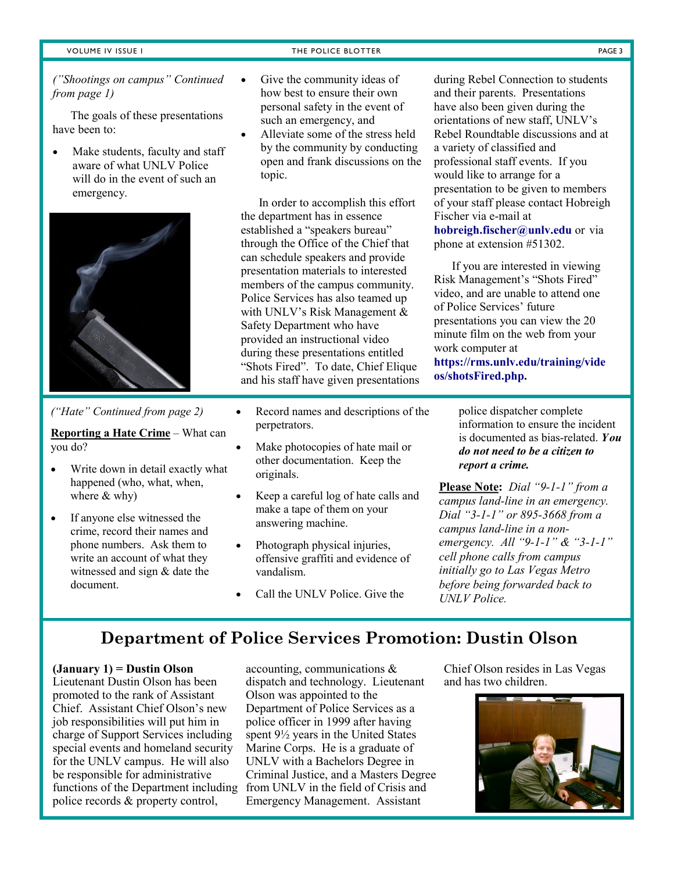*("Shootings on campus" Continued from page 1)*

 The goals of these presentations have been to:

 Make students, faculty and staff aware of what UNLV Police will do in the event of such an emergency.



#### *("Hate" Continued from page 2)*

**Reporting a Hate Crime** – What can you do?

- Write down in detail exactly what happened (who, what, when, where & why)
- If anyone else witnessed the crime, record their names and phone numbers. Ask them to write an account of what they witnessed and sign & date the document.
- Give the community ideas of how best to ensure their own personal safety in the event of such an emergency, and
- Alleviate some of the stress held by the community by conducting open and frank discussions on the topic.

 In order to accomplish this effort the department has in essence established a "speakers bureau" through the Office of the Chief that can schedule speakers and provide presentation materials to interested members of the campus community. Police Services has also teamed up with UNLV's Risk Management & Safety Department who have provided an instructional video during these presentations entitled "Shots Fired". To date, Chief Elique and his staff have given presentations

- Record names and descriptions of the perpetrators.
- Make photocopies of hate mail or other documentation. Keep the originals.
- Keep a careful log of hate calls and make a tape of them on your answering machine.
- Photograph physical injuries, offensive graffiti and evidence of vandalism.
- Call the UNLV Police. Give the

during Rebel Connection to students and their parents. Presentations have also been given during the orientations of new staff, UNLV's Rebel Roundtable discussions and at a variety of classified and professional staff events. If you would like to arrange for a presentation to be given to members of your staff please contact Hobreigh Fischer via e-mail at

**hobreigh.fischer@unlv.edu** or via phone at extension #51302.

 If you are interested in viewing Risk Management's "Shots Fired" video, and are unable to attend one of Police Services' future presentations you can view the 20 minute film on the web from your work computer at

**https://rms.unlv.edu/training/vide os/shotsFired.php.**

> police dispatcher complete information to ensure the incident is documented as bias-related. *You do not need to be a citizen to report a crime.*

**Please Note:** *Dial "9-1-1" from a campus land-line in an emergency. Dial "3-1-1" or 895-3668 from a campus land-line in a nonemergency. All "9-1-1" & "3-1-1" cell phone calls from campus initially go to Las Vegas Metro before being forwarded back to UNLV Police.*

# **Department of Police Services Promotion: Dustin Olson**

#### **(January 1) = Dustin Olson**

Lieutenant Dustin Olson has been promoted to the rank of Assistant Chief. Assistant Chief Olson's new job responsibilities will put him in charge of Support Services including special events and homeland security for the UNLV campus. He will also be responsible for administrative functions of the Department including police records & property control,

accounting, communications & dispatch and technology. Lieutenant Olson was appointed to the Department of Police Services as a police officer in 1999 after having spent 9½ years in the United States Marine Corps. He is a graduate of UNLV with a Bachelors Degree in Criminal Justice, and a Masters Degree from UNLV in the field of Crisis and Emergency Management. Assistant

Chief Olson resides in Las Vegas and has two children.

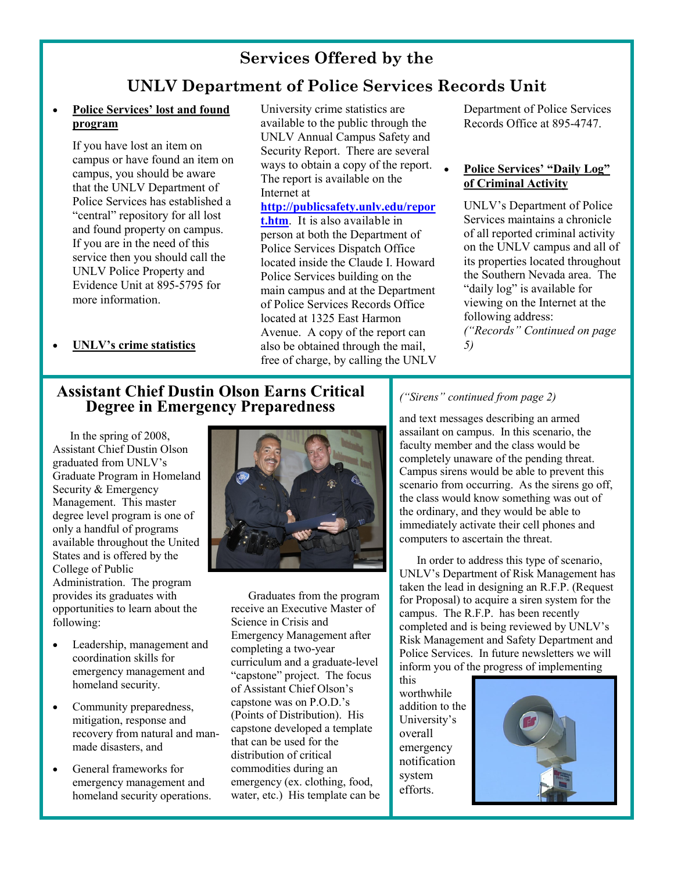# **Services Offered by the**

# **UNLV Department of Police Services Records Unit**

## **Police Services' lost and found program**

If you have lost an item on campus or have found an item on campus, you should be aware that the UNLV Department of Police Services has established a "central" repository for all lost and found property on campus. If you are in the need of this service then you should call the UNLV Police Property and Evidence Unit at 895-5795 for more information.

University crime statistics are available to the public through the UNLV Annual Campus Safety and Security Report. There are several ways to obtain a copy of the report. The report is available on the Internet at

**http://publicsafety.unlv.edu/repor t.htm**. It is also available in person at both the Department of Police Services Dispatch Office located inside the Claude I. Howard Police Services building on the main campus and at the Department of Police Services Records Office located at 1325 East Harmon Avenue. A copy of the report can also be obtained through the mail, free of charge, by calling the UNLV

Department of Police Services Records Office at 895-4747.

## **Police Services' "Daily Log" of Criminal Activity**

UNLV's Department of Police Services maintains a chronicle of all reported criminal activity on the UNLV campus and all of its properties located throughout the Southern Nevada area. The "daily log" is available for viewing on the Internet at the following address: *("Records" Continued on page 5)*

**UNLV's crime statistics**

# **Assistant Chief Dustin Olson Earns Critical Degree in Emergency Preparedness**

 In the spring of 2008, Assistant Chief Dustin Olson graduated from UNLV's Graduate Program in Homeland Security & Emergency Management. This master degree level program is one of only a handful of programs available throughout the United States and is offered by the College of Public Administration. The program provides its graduates with opportunities to learn about the following:

- Leadership, management and coordination skills for emergency management and homeland security.
- Community preparedness, mitigation, response and recovery from natural and manmade disasters, and
- General frameworks for emergency management and homeland security operations.



 Graduates from the program receive an Executive Master of Science in Crisis and Emergency Management after completing a two-year curriculum and a graduate-level "capstone" project. The focus of Assistant Chief Olson's capstone was on P.O.D.'s (Points of Distribution). His capstone developed a template that can be used for the distribution of critical commodities during an emergency (ex. clothing, food, water, etc.) His template can be

## *("Sirens" continued from page 2)*

and text messages describing an armed assailant on campus. In this scenario, the faculty member and the class would be completely unaware of the pending threat. Campus sirens would be able to prevent this scenario from occurring. As the sirens go off, the class would know something was out of the ordinary, and they would be able to immediately activate their cell phones and computers to ascertain the threat.

 In order to address this type of scenario, UNLV's Department of Risk Management has taken the lead in designing an R.F.P. (Request for Proposal) to acquire a siren system for the campus. The R.F.P. has been recently completed and is being reviewed by UNLV's Risk Management and Safety Department and Police Services. In future newsletters we will inform you of the progress of implementing

this worthwhile addition to the University's overall emergency notification system efforts.